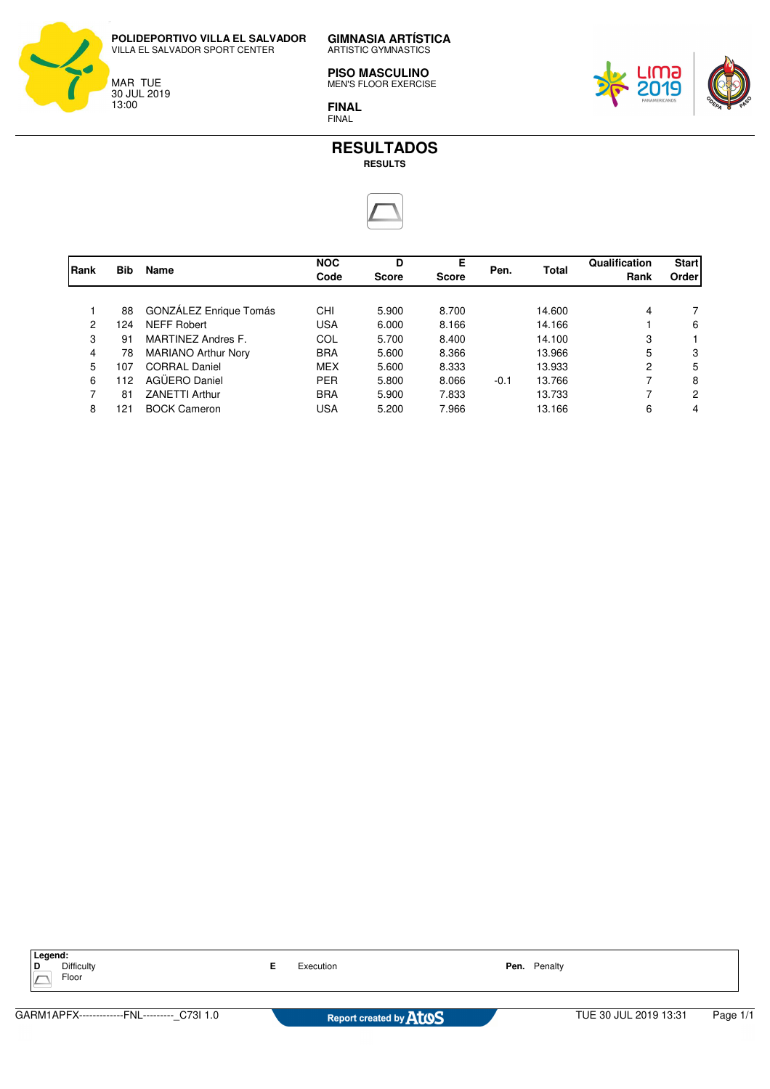

**GIMNASIA ARTÍSTICA** ARTISTIC GYMNASTICS

**PISO MASCULINO** MEN'S FLOOR EXERCISE







| Rank           | Bib | Name                          | <b>NOC</b><br>Code | D<br><b>Score</b> | Е<br><b>Score</b> | Pen.   | <b>Total</b> | Qualification<br>Rank | <b>Start</b><br>Order |
|----------------|-----|-------------------------------|--------------------|-------------------|-------------------|--------|--------------|-----------------------|-----------------------|
|                | 88  | <b>GONZALEZ Enrique Tomás</b> | CHI                | 5.900             | 8.700             |        | 14.600       | 4                     |                       |
| $\overline{2}$ | 124 | NEFF Robert                   | <b>USA</b>         | 6.000             | 8.166             |        | 14.166       |                       | 6                     |
| 3              | 91  | <b>MARTINEZ Andres F.</b>     | COL                | 5.700             | 8.400             |        | 14.100       | 3                     |                       |
| 4              | 78  | <b>MARIANO Arthur Nory</b>    | <b>BRA</b>         | 5.600             | 8.366             |        | 13.966       | 5                     | 3                     |
| 5              | 107 | <b>CORRAL Daniel</b>          | <b>MEX</b>         | 5.600             | 8.333             |        | 13.933       | 2                     | 5                     |
| 6              | 112 | AGÜERO Daniel                 | <b>PER</b>         | 5.800             | 8.066             | $-0.1$ | 13.766       | 7                     | 8                     |
| $\overline{7}$ | 81  | <b>ZANETTI Arthur</b>         | <b>BRA</b>         | 5.900             | 7.833             |        | 13.733       | 7                     | 2                     |
| 8              | 121 | <b>BOCK Cameron</b>           | <b>USA</b>         | 5.200             | 7.966             |        | 13.166       | 6                     | 4                     |

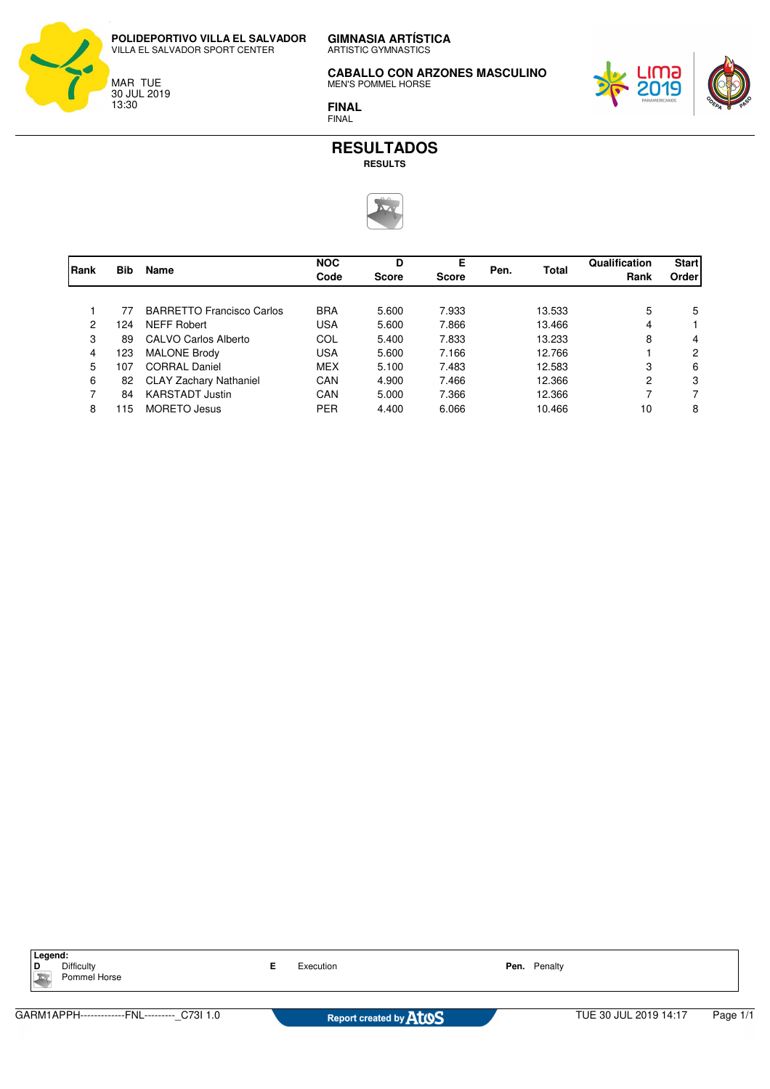**GIMNASIA ARTÍSTICA POLIDEPORTIVO VILLA EL SALVADOR** VILLA EL SALVADOR SPORT CENTER



ARTISTIC GYMNASTICS

**CABALLO CON ARZONES MASCULINO** MEN'S POMMEL HORSE



**FINAL** FINAL



|      |            | Name                             | <b>NOC</b>           | D            | Е     |              |        | Qualification  | <b>Start</b> |
|------|------------|----------------------------------|----------------------|--------------|-------|--------------|--------|----------------|--------------|
| Rank | <b>Bib</b> |                                  | Code<br><b>Score</b> | <b>Score</b> | Pen.  | <b>Total</b> | Rank   | Order          |              |
|      |            |                                  |                      |              |       |              |        |                |              |
|      | 77         | <b>BARRETTO Francisco Carlos</b> | <b>BRA</b>           | 5.600        | 7.933 |              | 13.533 | 5              | 5            |
| 2    | 124        | NEFF Robert                      | <b>USA</b>           | 5.600        | 7.866 |              | 13.466 | 4              |              |
| 3    | 89         | CALVO Carlos Alberto             | COL                  | 5.400        | 7.833 |              | 13.233 | 8              | 4            |
| 4    | 123        | <b>MALONE Brody</b>              | <b>USA</b>           | 5.600        | 7.166 |              | 12.766 |                | 2            |
| 5    | 107        | <b>CORRAL Daniel</b>             | <b>MEX</b>           | 5.100        | 7.483 |              | 12.583 | 3              | 6            |
| 6    | 82         | <b>CLAY Zachary Nathaniel</b>    | CAN                  | 4.900        | 7.466 |              | 12.366 | $\overline{c}$ | 3            |
| 7    | 84         | <b>KARSTADT Justin</b>           | CAN                  | 5.000        | 7.366 |              | 12.366 | 7              |              |
| 8    | 115        | MORETO Jesus                     | <b>PER</b>           | 4.400        | 6.066 |              | 10.466 | 10             | 8            |

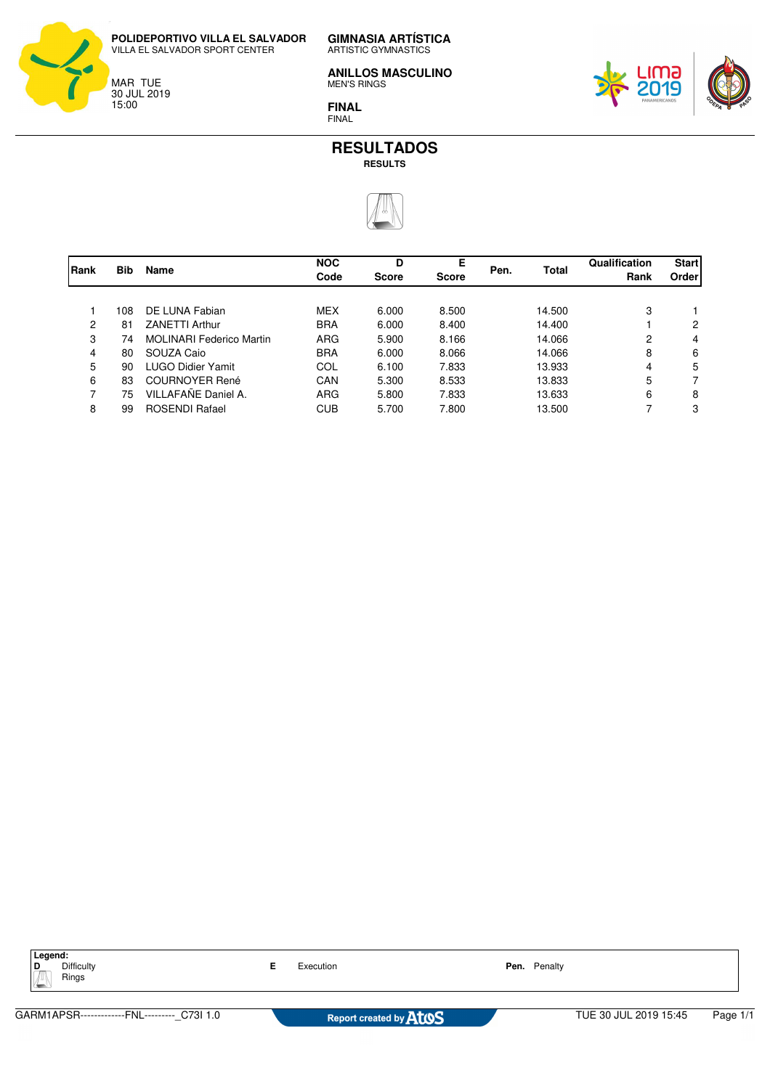

**GIMNASIA ARTÍSTICA** ARTISTIC GYMNASTICS

**ANILLOS MASCULINO** MEN'S RINGS

**FINAL** FINAL





|              |            | <b>Name</b>                     | <b>NOC</b> | D            | Е            |      |              | Qualification | <b>Start</b> |
|--------------|------------|---------------------------------|------------|--------------|--------------|------|--------------|---------------|--------------|
| <b>IRank</b> | <b>Bib</b> |                                 | Code       | <b>Score</b> | <b>Score</b> | Pen. | <b>Total</b> | Rank          | Order        |
|              |            |                                 |            |              |              |      |              |               |              |
|              | 108        | DE LUNA Fabian                  | <b>MEX</b> | 6.000        | 8.500        |      | 14.500       | 3             |              |
| 2            | 81         | <b>ZANETTI Arthur</b>           | <b>BRA</b> | 6.000        | 8.400        |      | 14.400       |               | 2            |
| 3            | 74         | <b>MOLINARI Federico Martin</b> | <b>ARG</b> | 5.900        | 8.166        |      | 14.066       | 2             | 4            |
| 4            | 80         | SOUZA Caio                      | <b>BRA</b> | 6.000        | 8.066        |      | 14.066       | 8             | 6            |
| 5            | 90         | <b>LUGO Didier Yamit</b>        | COL        | 6.100        | 7.833        |      | 13.933       | 4             | 5            |
| 6            | 83         | <b>COURNOYER René</b>           | CAN        | 5.300        | 8.533        |      | 13.833       | 5             |              |
| 7            | 75         | VILLAFAÑE Daniel A.             | <b>ARG</b> | 5.800        | 7.833        |      | 13.633       | 6             | 8            |
| 8            | 99         | <b>ROSENDI Rafael</b>           | <b>CUB</b> | 5.700        | 7.800        |      | 13.500       | 7             | 3            |

| Legend:<br><b>Difficulty</b><br>D<br>Rings<br>÷ | Execution |                                           | Pen. Penalty |                       |          |  |
|-------------------------------------------------|-----------|-------------------------------------------|--------------|-----------------------|----------|--|
|                                                 |           |                                           |              |                       |          |  |
| GARM1APSR-------------FNL--------- C73I 1.0     |           | Report created by <b>AT<sub>10</sub>S</b> |              | TUE 30 JUL 2019 15:45 | Page 1/1 |  |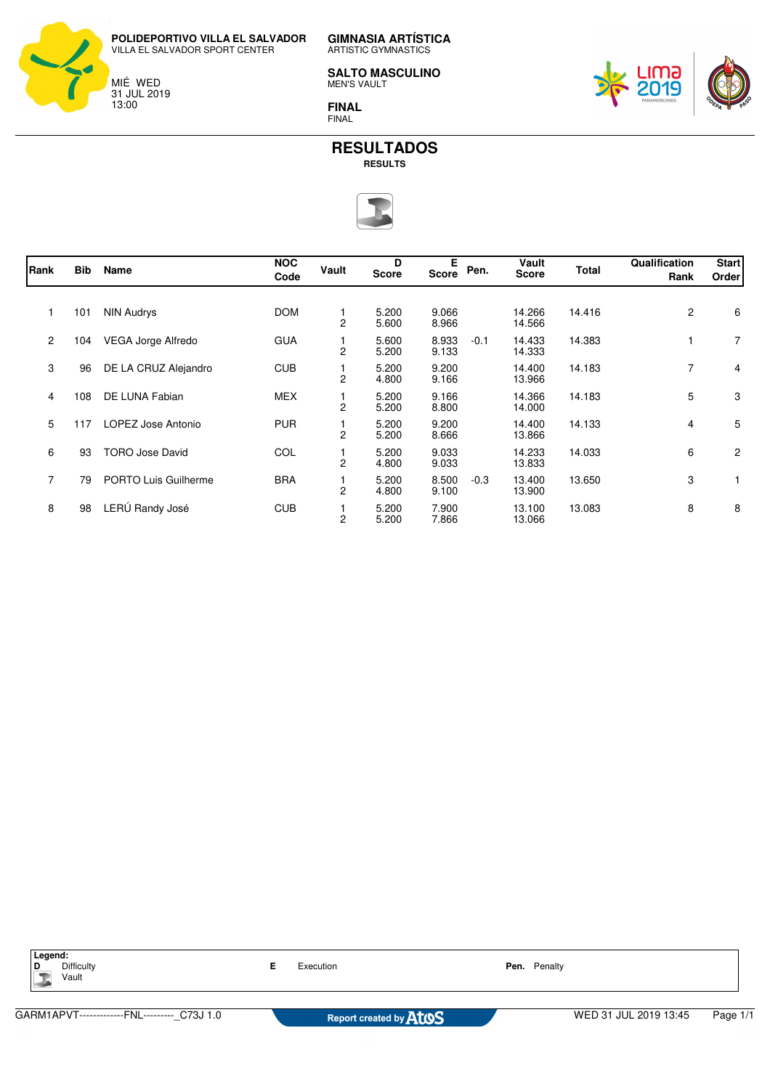

**GIMNASIA ARTÍSTICA** ARTISTIC GYMNASTICS

**SALTO MASCULINO** MEN'S VAULT

**FINAL** FINAL





| Rank           | <b>Bib</b> | Name                   | <b>NOC</b><br>Code | Vault          | D<br><b>Score</b> | Е<br>Score     | Pen.   | Vault<br><b>Score</b> | <b>Total</b> | Qualification<br>Rank | <b>Start</b><br>Order |
|----------------|------------|------------------------|--------------------|----------------|-------------------|----------------|--------|-----------------------|--------------|-----------------------|-----------------------|
|                | 101        | <b>NIN Audrys</b>      | <b>DOM</b>         | $\overline{c}$ | 5.200<br>5.600    | 9.066<br>8.966 |        | 14.266<br>14.566      | 14.416       | $\mathbf{2}$          | 6                     |
| $\overline{2}$ | 104        | VEGA Jorge Alfredo     | <b>GUA</b>         | 2              | 5.600<br>5.200    | 8.933<br>9.133 | $-0.1$ | 14.433<br>14.333      | 14.383       |                       | $\overline{7}$        |
| 3              | 96         | DE LA CRUZ Alejandro   | <b>CUB</b>         | $\overline{2}$ | 5.200<br>4.800    | 9.200<br>9.166 |        | 14.400<br>13.966      | 14.183       | 7                     | 4                     |
| 4              | 108        | DE LUNA Fabian         | <b>MEX</b>         | $\overline{2}$ | 5.200<br>5.200    | 9.166<br>8.800 |        | 14.366<br>14.000      | 14.183       | 5                     | 3                     |
| 5              | 117        | LOPEZ Jose Antonio     | <b>PUR</b>         | $\overline{2}$ | 5.200<br>5.200    | 9.200<br>8.666 |        | 14.400<br>13.866      | 14.133       | 4                     | 5                     |
| 6              | 93         | <b>TORO Jose David</b> | COL                | 2              | 5.200<br>4.800    | 9.033<br>9.033 |        | 14.233<br>13.833      | 14.033       | 6                     | 2                     |
| $\overline{7}$ | 79         | PORTO Luis Guilherme   | <b>BRA</b>         | $\overline{c}$ | 5.200<br>4.800    | 8.500<br>9.100 | $-0.3$ | 13.400<br>13.900      | 13.650       | 3                     |                       |
| 8              | 98         | LERÚ Randy José        | <b>CUB</b>         | 2              | 5.200<br>5.200    | 7.900<br>7.866 |        | 13.100<br>13.066      | 13.083       | 8                     | 8                     |

| Legend:<br>Difficulty<br>D<br>Vault         |  | Execution                                 |  | Pen. Penalty          |          |  |  |
|---------------------------------------------|--|-------------------------------------------|--|-----------------------|----------|--|--|
|                                             |  |                                           |  |                       |          |  |  |
| GARM1APVT-------------FNL--------- C73J 1.0 |  | Report created by <b>AT<sub>10</sub>S</b> |  | WED 31 JUL 2019 13:45 | Page 1/1 |  |  |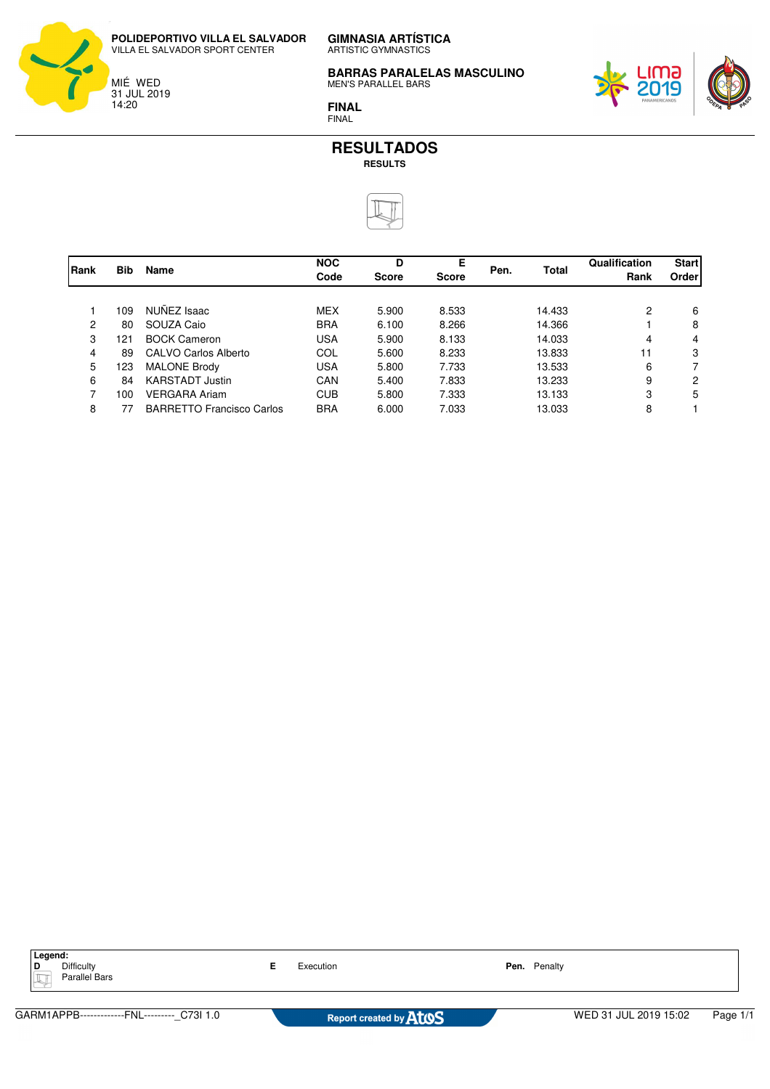

**GIMNASIA ARTÍSTICA** ARTISTIC GYMNASTICS

**BARRAS PARALELAS MASCULINO** MEN'S PARALLEL BARS



**FINAL** FINAL



|      |            | <b>Name</b>                      | <b>NOC</b> | D            | Е            |      |              | Qualification | <b>Start</b> |
|------|------------|----------------------------------|------------|--------------|--------------|------|--------------|---------------|--------------|
| Rank | <b>Bib</b> |                                  | Code       | <b>Score</b> | <b>Score</b> | Pen. | <b>Total</b> | Rank          | Order        |
|      | 109        | NUÑEZ Isaac                      | <b>MEX</b> | 5.900        | 8.533        |      | 14.433       | 2             | 6            |
| 2    | 80         | SOUZA Caio                       | <b>BRA</b> | 6.100        | 8.266        |      | 14.366       |               | 8            |
| 3    | 121        | <b>BOCK Cameron</b>              | <b>USA</b> | 5.900        | 8.133        |      | 14.033       | 4             | 4            |
| 4    | 89         | CALVO Carlos Alberto             | COL        | 5.600        | 8.233        |      | 13.833       | 11            | 3            |
| 5    | 123        | <b>MALONE Brody</b>              | <b>USA</b> | 5.800        | 7.733        |      | 13.533       | 6             |              |
| 6    | 84         | <b>KARSTADT Justin</b>           | CAN        | 5.400        | 7.833        |      | 13.233       | 9             | 2            |
| 7    | 100        | <b>VERGARA Ariam</b>             | <b>CUB</b> | 5.800        | 7.333        |      | 13.133       | 3             | 5            |
| 8    | 77         | <b>BARRETTO Francisco Carlos</b> | <b>BRA</b> | 6.000        | 7.033        |      | 13.033       | 8             |              |

| Legend:<br><b>Difficulty</b><br>D<br>Parallel Bars | Execution                     | Pen. Penalty          |          |
|----------------------------------------------------|-------------------------------|-----------------------|----------|
|                                                    |                               |                       |          |
| GARM1APPB-------------FNL--------- C73I 1.0        | Report created by <b>ATOS</b> | WED 31 JUL 2019 15:02 | Page 1/1 |